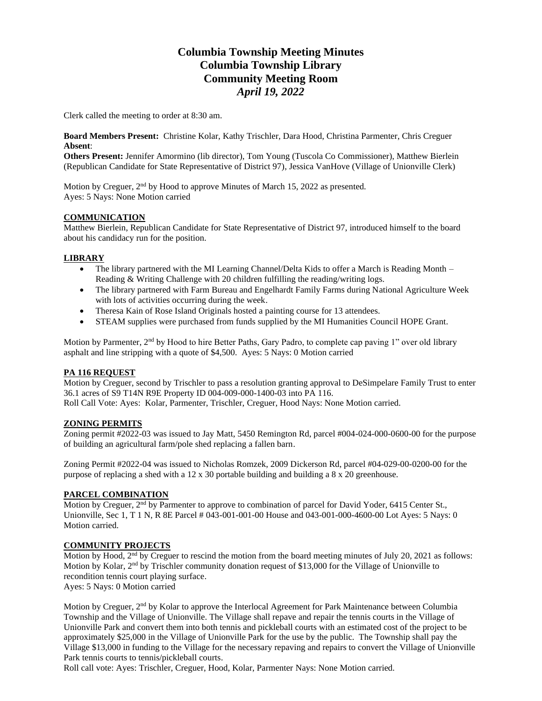# **Columbia Township Meeting Minutes Columbia Township Library Community Meeting Room** *April 19, 2022*

Clerk called the meeting to order at 8:30 am.

**Board Members Present:** Christine Kolar, Kathy Trischler, Dara Hood, Christina Parmenter, Chris Creguer **Absent**:

**Others Present:** Jennifer Amormino (lib director), Tom Young (Tuscola Co Commissioner), Matthew Bierlein (Republican Candidate for State Representative of District 97), Jessica VanHove (Village of Unionville Clerk)

Motion by Creguer, 2<sup>nd</sup> by Hood to approve Minutes of March 15, 2022 as presented. Ayes: 5 Nays: None Motion carried

#### **COMMUNICATION**

Matthew Bierlein, Republican Candidate for State Representative of District 97, introduced himself to the board about his candidacy run for the position.

### **LIBRARY**

- The library partnered with the MI Learning Channel/Delta Kids to offer a March is Reading Month Reading & Writing Challenge with 20 children fulfilling the reading/writing logs.
- The library partnered with Farm Bureau and Engelhardt Family Farms during National Agriculture Week with lots of activities occurring during the week.
- Theresa Kain of Rose Island Originals hosted a painting course for 13 attendees.
- STEAM supplies were purchased from funds supplied by the MI Humanities Council HOPE Grant.

Motion by Parmenter, 2<sup>nd</sup> by Hood to hire Better Paths, Gary Padro, to complete cap paving 1" over old library asphalt and line stripping with a quote of \$4,500. Ayes: 5 Nays: 0 Motion carried

#### **PA 116 REQUEST**

Motion by Creguer, second by Trischler to pass a resolution granting approval to DeSimpelare Family Trust to enter 36.1 acres of S9 T14N R9E Property ID 004-009-000-1400-03 into PA 116.

Roll Call Vote: Ayes: Kolar, Parmenter, Trischler, Creguer, Hood Nays: None Motion carried.

## **ZONING PERMITS**

Zoning permit #2022-03 was issued to Jay Matt, 5450 Remington Rd, parcel #004-024-000-0600-00 for the purpose of building an agricultural farm/pole shed replacing a fallen barn.

Zoning Permit #2022-04 was issued to Nicholas Romzek, 2009 Dickerson Rd, parcel #04-029-00-0200-00 for the purpose of replacing a shed with a 12 x 30 portable building and building a 8 x 20 greenhouse.

#### **PARCEL COMBINATION**

Motion by Creguer, 2<sup>nd</sup> by Parmenter to approve to combination of parcel for David Yoder, 6415 Center St., Unionville, Sec 1, T 1 N, R 8E Parcel # 043-001-001-00 House and 043-001-000-4600-00 Lot Ayes: 5 Nays: 0 Motion carried.

#### **COMMUNITY PROJECTS**

Motion by Hood,  $2<sup>nd</sup>$  by Creguer to rescind the motion from the board meeting minutes of July 20, 2021 as follows: Motion by Kolar, 2<sup>nd</sup> by Trischler community donation request of \$13,000 for the Village of Unionville to recondition tennis court playing surface.

Ayes: 5 Nays: 0 Motion carried

Motion by Creguer,  $2<sup>nd</sup>$  by Kolar to approve the Interlocal Agreement for Park Maintenance between Columbia Township and the Village of Unionville. The Village shall repave and repair the tennis courts in the Village of Unionville Park and convert them into both tennis and pickleball courts with an estimated cost of the project to be approximately \$25,000 in the Village of Unionville Park for the use by the public. The Township shall pay the Village \$13,000 in funding to the Village for the necessary repaving and repairs to convert the Village of Unionville Park tennis courts to tennis/pickleball courts.

Roll call vote: Ayes: Trischler, Creguer, Hood, Kolar, Parmenter Nays: None Motion carried.